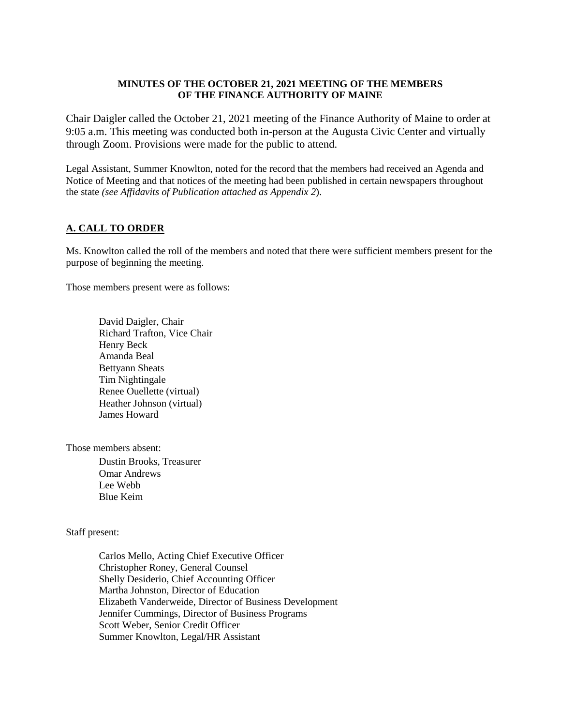#### **MINUTES OF THE OCTOBER 21, 2021 MEETING OF THE MEMBERS OF THE FINANCE AUTHORITY OF MAINE**

Chair Daigler called the October 21, 2021 meeting of the Finance Authority of Maine to order at 9:05 a.m. This meeting was conducted both in-person at the Augusta Civic Center and virtually through Zoom. Provisions were made for the public to attend.

Legal Assistant, Summer Knowlton, noted for the record that the members had received an Agenda and Notice of Meeting and that notices of the meeting had been published in certain newspapers throughout the state *(see Affidavits of Publication attached as Appendix 2*).

## **A. CALL TO ORDER**

Ms. Knowlton called the roll of the members and noted that there were sufficient members present for the purpose of beginning the meeting.

Those members present were as follows:

David Daigler, Chair Richard Trafton, Vice Chair Henry Beck Amanda Beal Bettyann Sheats Tim Nightingale Renee Ouellette (virtual) Heather Johnson (virtual) James Howard

Those members absent:

Dustin Brooks, Treasurer Omar Andrews Lee Webb Blue Keim

#### Staff present:

Carlos Mello, Acting Chief Executive Officer Christopher Roney, General Counsel Shelly Desiderio, Chief Accounting Officer Martha Johnston, Director of Education Elizabeth Vanderweide, Director of Business Development Jennifer Cummings, Director of Business Programs Scott Weber, Senior Credit Officer Summer Knowlton, Legal/HR Assistant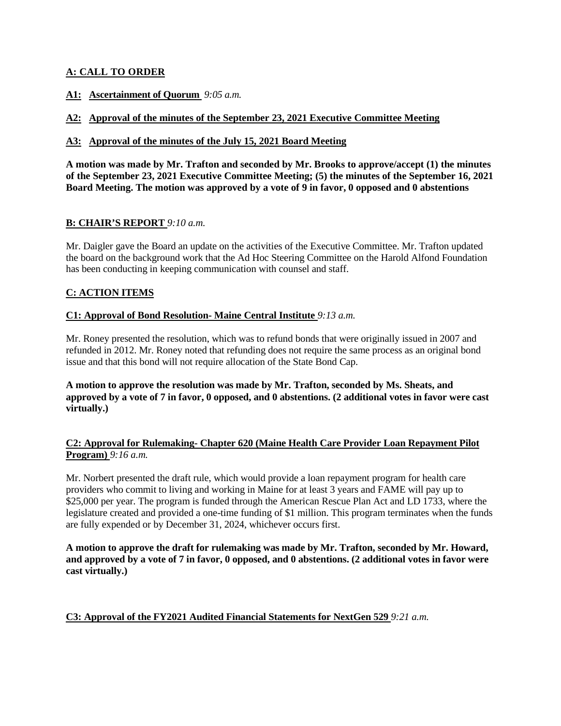## **A: CALL TO ORDER**

**A1: Ascertainment of Quorum** *9:05 a.m.* 

## **A2: Approval of the minutes of the September 23, 2021 Executive Committee Meeting**

## **A3: Approval of the minutes of the July 15, 2021 Board Meeting**

**A motion was made by Mr. Trafton and seconded by Mr. Brooks to approve/accept (1) the minutes of the September 23, 2021 Executive Committee Meeting; (5) the minutes of the September 16, 2021 Board Meeting. The motion was approved by a vote of 9 in favor, 0 opposed and 0 abstentions** 

## **B: CHAIR'S REPORT** *9:10 a.m.*

Mr. Daigler gave the Board an update on the activities of the Executive Committee. Mr. Trafton updated the board on the background work that the Ad Hoc Steering Committee on the Harold Alfond Foundation has been conducting in keeping communication with counsel and staff.

# **C: ACTION ITEMS**

## **C1: Approval of Bond Resolution- Maine Central Institute** *9:13 a.m.*

Mr. Roney presented the resolution, which was to refund bonds that were originally issued in 2007 and refunded in 2012. Mr. Roney noted that refunding does not require the same process as an original bond issue and that this bond will not require allocation of the State Bond Cap.

**A motion to approve the resolution was made by Mr. Trafton, seconded by Ms. Sheats, and approved by a vote of 7 in favor, 0 opposed, and 0 abstentions. (2 additional votes in favor were cast virtually.)** 

## **C2: Approval for Rulemaking- Chapter 620 (Maine Health Care Provider Loan Repayment Pilot Program)** *9:16 a.m.*

Mr. Norbert presented the draft rule, which would provide a loan repayment program for health care providers who commit to living and working in Maine for at least 3 years and FAME will pay up to \$25,000 per year. The program is funded through the American Rescue Plan Act and LD 1733, where the legislature created and provided a one-time funding of \$1 million. This program terminates when the funds are fully expended or by December 31, 2024, whichever occurs first.

**A motion to approve the draft for rulemaking was made by Mr. Trafton, seconded by Mr. Howard, and approved by a vote of 7 in favor, 0 opposed, and 0 abstentions. (2 additional votes in favor were cast virtually.)** 

# **C3: Approval of the FY2021 Audited Financial Statements for NextGen 529** *9:21 a.m.*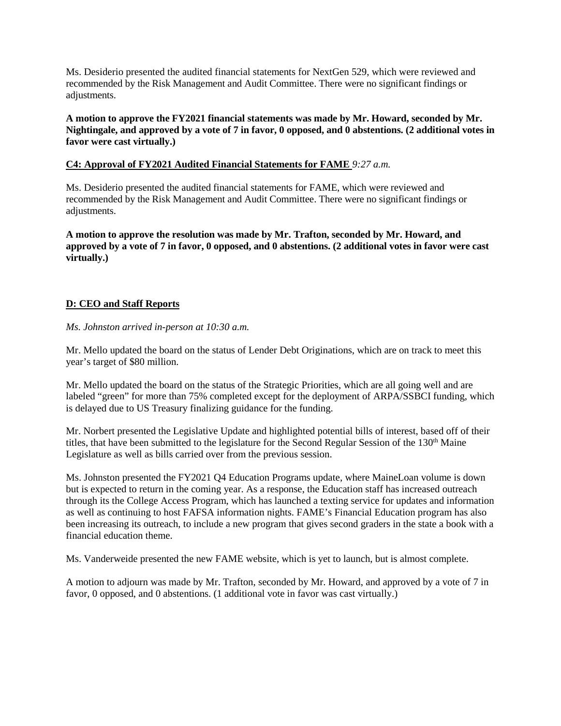Ms. Desiderio presented the audited financial statements for NextGen 529, which were reviewed and recommended by the Risk Management and Audit Committee. There were no significant findings or adjustments.

**A motion to approve the FY2021 financial statements was made by Mr. Howard, seconded by Mr. Nightingale, and approved by a vote of 7 in favor, 0 opposed, and 0 abstentions. (2 additional votes in favor were cast virtually.)** 

#### **C4: Approval of FY2021 Audited Financial Statements for FAME** *9:27 a.m.*

Ms. Desiderio presented the audited financial statements for FAME, which were reviewed and recommended by the Risk Management and Audit Committee. There were no significant findings or adjustments.

**A motion to approve the resolution was made by Mr. Trafton, seconded by Mr. Howard, and approved by a vote of 7 in favor, 0 opposed, and 0 abstentions. (2 additional votes in favor were cast virtually.)** 

# **D: CEO and Staff Reports**

## *Ms. Johnston arrived in-person at 10:30 a.m.*

Mr. Mello updated the board on the status of Lender Debt Originations, which are on track to meet this year's target of \$80 million.

Mr. Mello updated the board on the status of the Strategic Priorities, which are all going well and are labeled "green" for more than 75% completed except for the deployment of ARPA/SSBCI funding, which is delayed due to US Treasury finalizing guidance for the funding.

Mr. Norbert presented the Legislative Update and highlighted potential bills of interest, based off of their titles, that have been submitted to the legislature for the Second Regular Session of the 130<sup>th</sup> Maine Legislature as well as bills carried over from the previous session.

Ms. Johnston presented the FY2021 Q4 Education Programs update, where MaineLoan volume is down but is expected to return in the coming year. As a response, the Education staff has increased outreach through its the College Access Program, which has launched a texting service for updates and information as well as continuing to host FAFSA information nights. FAME's Financial Education program has also been increasing its outreach, to include a new program that gives second graders in the state a book with a financial education theme.

Ms. Vanderweide presented the new FAME website, which is yet to launch, but is almost complete.

A motion to adjourn was made by Mr. Trafton, seconded by Mr. Howard, and approved by a vote of 7 in favor, 0 opposed, and 0 abstentions. (1 additional vote in favor was cast virtually.)